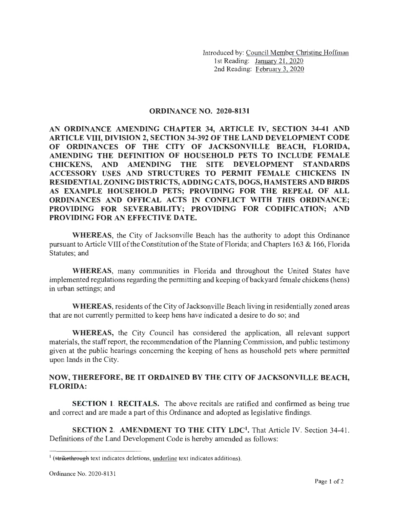Introduced by: Council Member Christine Hoffman 1st Reading: January 21, 2020 2nd Reading: February 3, 2020

## **ORDINANCE NO. 2020-8131**

**AN ORDINANCE AMENDING CHAPTER 34, ARTICLE IV, SECTION 34-41 AND ARTICLE VIII, DIVISION 2, SECTION 34-392 OF THE LAND DEVELOPMENT CODE OF ORDINANCES OF THE CITY OF JACKSONVILLE BEACH, FLORIDA, AMENDING THE DEFINITION OF HOUSEHOLD PETS TO INCLUDE FEMALE CHICKENS, AND AMENDING THE SITE DEVELOPMENT STANDARDS ACCESSORY USES AND STRUCTURES TO PERMIT FEMALE CHICKENS IN RESIDENTIAL ZONING DISTRICTS, ADDING CATS, DOGS, HAMSTERS AND BIRDS AS EXAMPLE HOUSEHOLD PETS; PROVIDING FOR THE REPEAL OF ALL ORDINANCES AND OFFICAL ACTS IN CONFLICT WITH THIS ORDINANCE; PROVIDING FOR SEVERABILITY; PROVIDING FOR CODIFICATION; AND PROVIDING FOR AN EFFECTIVE DATE.** 

**WHEREAS,** the City of Jacksonville Beach has the authority to adopt this Ordinance pursuant to Article VIII of the Constitution of the State of Florida; and Chapters 163 & 166, Florida Statutes; and

WHEREAS, many communities in Florida and throughout the United States have implemented regulations regarding the permitting and keeping of backyard female chickens (hens) in urban settings; and

**WHEREAS,** residents of the City of Jacksonville Beach living in residentially zoned areas that are not currently permitted to keep hens have indicated a desire to do so; and

**WHEREAS,** the City Council has considered the application, all relevant support materials, the staff report, the recommendation of the Planning Commission, and public testimony given at the public hearings concerning the keeping of hens as household pets where permitted upon lands in the City.

## **NOW, THEREFORE, BE IT ORDAINED BY THE CITY OF JACKSONVILLE BEACH, FLORIDA:**

**SECTION 1. RECITALS.** The above recitals are ratified and confirmed as being true and correct and are made a part of this Ordinance and adopted as legislative findings.

**SECTION 2. AMENDMENT TO THE CITY LDC<sup>1</sup>.** That Article IV. Section 34-41. Definitions of the Land Development Code is hereby amended as follows:

<sup>&</sup>lt;sup>1</sup> (strikethrough text indicates deletions, <u>underline</u> text indicates additions).